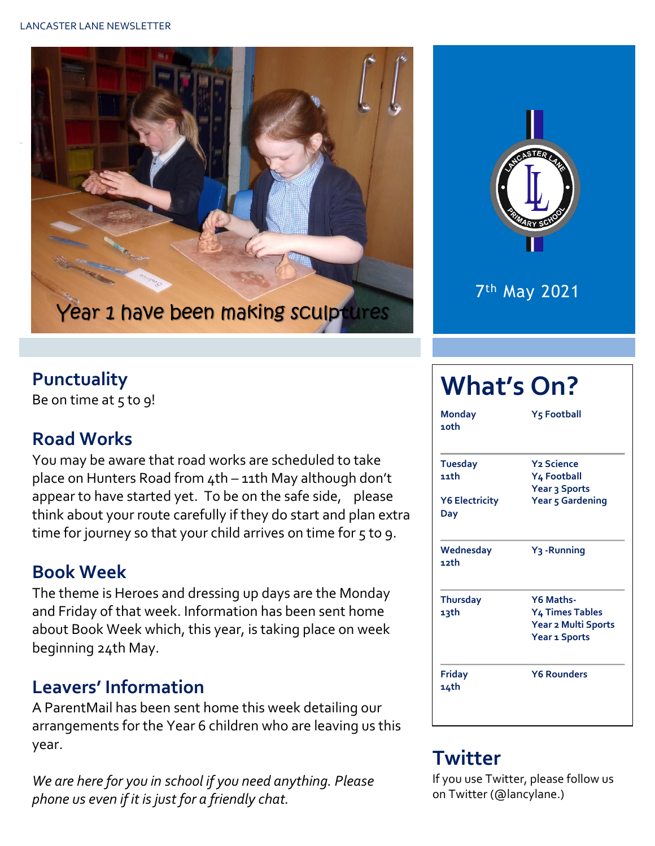



#### **Punctuality**

Be on time at  $5$  to  $9!$ 

#### **Road Works**

You may be aware that road works are scheduled to take place on Hunters Road from 4th – 11th May although don't appear to have started yet. To be on the safe side, please think about your route carefully if they do start and plan extra time for journey so that your child arrives on time for 5 to 9.

#### **Book Week**

The theme is Heroes and dressing up days are the Monday and Friday of that week. Information has been sent home about Book Week which, this year, is taking place on week beginning 24th May.

### **Leavers' Information**

A ParentMail has been sent home this week detailing our arrangements for the Year 6 children who are leaving us this year.

*We are here for you in school if you need anything. Please phone us even if it is just for a friendly chat.* 

# **What's On?**

| <b>Monday</b><br>1 oth       | Y5 Football                  |  |  |  |  |
|------------------------------|------------------------------|--|--|--|--|
| <b>Tuesday</b>               | <b>Y<sub>2</sub></b> Science |  |  |  |  |
| 11th                         | Y4 Football                  |  |  |  |  |
|                              | Year 3 Sports                |  |  |  |  |
| <b>Y6 Electricity</b><br>Day | Year 5 Gardening             |  |  |  |  |
| Wednesday<br>12th            | Y <sub>3</sub> -Running      |  |  |  |  |
| <b>Thursday</b>              | Y6 Maths-                    |  |  |  |  |
| 13th                         | <b>Y4 Times Tables</b>       |  |  |  |  |
|                              | Year 2 Multi Sports          |  |  |  |  |
|                              | Year 1 Sports                |  |  |  |  |
| <b>Friday</b><br>14th        | <b>Y6 Rounders</b>           |  |  |  |  |

## **Twitter**

If you use Twitter, please follow us on Twitter (@lancylane.)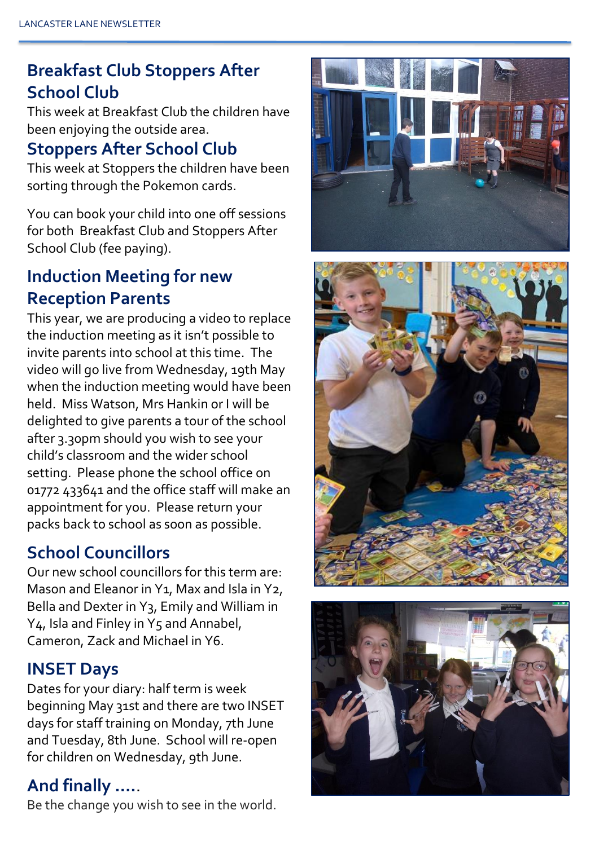## **Breakfast Club Stoppers After School Club**

This week at Breakfast Club the children have been enjoying the outside area.

## **Stoppers After School Club**

This week at Stoppers the children have been sorting through the Pokemon cards.

You can book your child into one off sessions for both Breakfast Club and Stoppers After School Club (fee paying).

### **Induction Meeting for new Reception Parents**

This year, we are producing a video to replace the induction meeting as it isn't possible to invite parents into school at this time. The video will go live from Wednesday, 19th May when the induction meeting would have been held. Miss Watson, Mrs Hankin or I will be delighted to give parents a tour of the school after 3.30pm should you wish to see your child's classroom and the wider school setting. Please phone the school office on 01772 433641 and the office staff will make an appointment for you. Please return your packs back to school as soon as possible.

## **School Councillors**

Our new school councillors for this term are: Mason and Eleanor in Y1, Max and Isla in Y2, Bella and Dexter in Y3, Emily and William in Y<sub>4</sub>, Isla and Finley in Y<sub>5</sub> and Annabel, Cameron, Zack and Michael in Y6.

## **INSET Days**

Dates for your diary: half term is week beginning May 31st and there are two INSET days for staff training on Monday, 7th June and Tuesday, 8th June. School will re-open for children on Wednesday, 9th June.

## **And finally ….**.

Be the change you wish to see in the world.